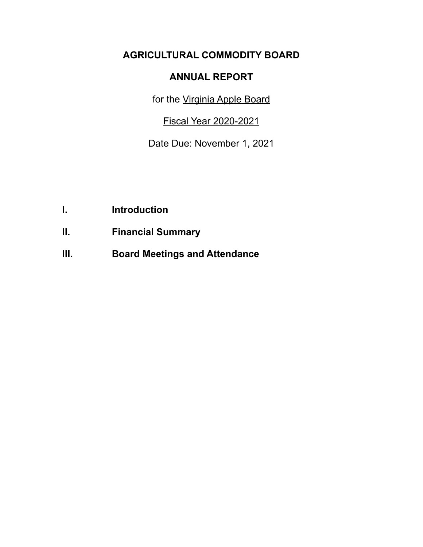# **AGRICULTURAL COMMODITY BOARD**

## **ANNUAL REPORT**

for the Virginia Apple Board

Fiscal Year 2020-2021

Date Due: November 1, 2021

- **I. Introduction**
- **II. Financial Summary**
- **III. Board Meetings and Attendance**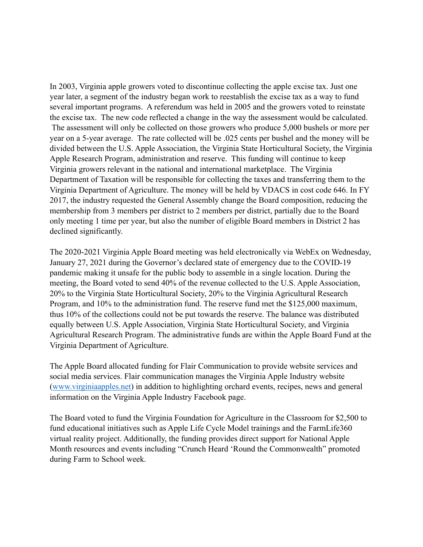In 2003, Virginia apple growers voted to discontinue collecting the apple excise tax. Just one year later, a segment of the industry began work to reestablish the excise tax as a way to fund several important programs. A referendum was held in 2005 and the growers voted to reinstate the excise tax. The new code reflected a change in the way the assessment would be calculated. The assessment will only be collected on those growers who produce 5,000 bushels or more per year on a 5-year average. The rate collected will be .025 cents per bushel and the money will be divided between the U.S. Apple Association, the Virginia State Horticultural Society, the Virginia Apple Research Program, administration and reserve. This funding will continue to keep Virginia growers relevant in the national and international marketplace. The Virginia Department of Taxation will be responsible for collecting the taxes and transferring them to the Virginia Department of Agriculture. The money will be held by VDACS in cost code 646. In FY 2017, the industry requested the General Assembly change the Board composition, reducing the membership from 3 members per district to 2 members per district, partially due to the Board only meeting 1 time per year, but also the number of eligible Board members in District 2 has declined significantly.

The 2020-2021 Virginia Apple Board meeting was held electronically via WebEx on Wednesday, January 27, 2021 during the Governor's declared state of emergency due to the COVID-19 pandemic making it unsafe for the public body to assemble in a single location. During the meeting, the Board voted to send 40% of the revenue collected to the U.S. Apple Association, 20% to the Virginia State Horticultural Society, 20% to the Virginia Agricultural Research Program, and 10% to the administration fund. The reserve fund met the \$125,000 maximum, thus 10% of the collections could not be put towards the reserve. The balance was distributed equally between U.S. Apple Association, Virginia State Horticultural Society, and Virginia Agricultural Research Program. The administrative funds are within the Apple Board Fund at the Virginia Department of Agriculture.

The Apple Board allocated funding for Flair Communication to provide website services and social media services. Flair communication manages the Virginia Apple Industry website ([www.virginiaapples.net\)](http://www.virginiaapples.net) in addition to highlighting orchard events, recipes, news and general information on the Virginia Apple Industry Facebook page.

The Board voted to fund the Virginia Foundation for Agriculture in the Classroom for \$2,500 to fund educational initiatives such as Apple Life Cycle Model trainings and the FarmLife360 virtual reality project. Additionally, the funding provides direct support for National Apple Month resources and events including "Crunch Heard 'Round the Commonwealth" promoted during Farm to School week.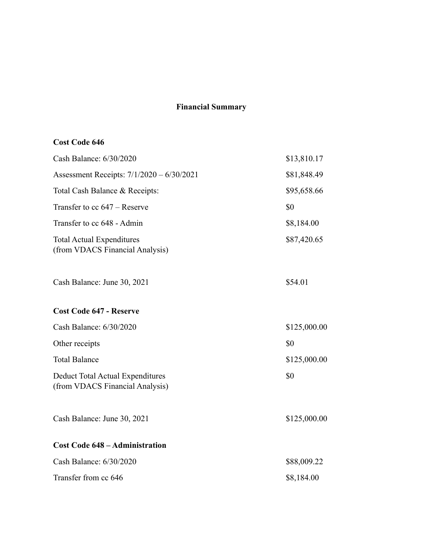### **Financial Summary**

## **Cost Code 646**

| Cash Balance: 6/30/2020                                             | \$13,810.17  |
|---------------------------------------------------------------------|--------------|
| Assessment Receipts: 7/1/2020 - 6/30/2021                           | \$81,848.49  |
| Total Cash Balance & Receipts:                                      | \$95,658.66  |
| Transfer to cc 647 – Reserve                                        | \$0          |
| Transfer to cc 648 - Admin                                          | \$8,184.00   |
| <b>Total Actual Expenditures</b><br>(from VDACS Financial Analysis) | \$87,420.65  |
| Cash Balance: June 30, 2021                                         | \$54.01      |
| <b>Cost Code 647 - Reserve</b>                                      |              |
| Cash Balance: 6/30/2020                                             | \$125,000.00 |
| Other receipts                                                      | \$0          |
| <b>Total Balance</b>                                                | \$125,000.00 |
| Deduct Total Actual Expenditures<br>(from VDACS Financial Analysis) | \$0          |
| Cash Balance: June 30, 2021                                         | \$125,000.00 |
| <b>Cost Code 648 - Administration</b>                               |              |
| Cash Balance: 6/30/2020                                             | \$88,009.22  |
| Transfer from cc 646                                                | \$8,184.00   |